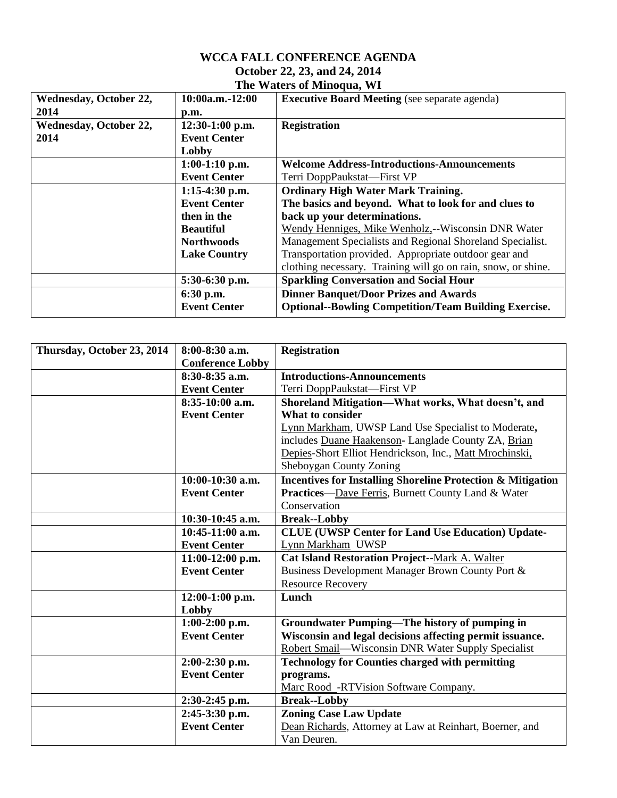## **WCCA FALL CONFERENCE AGENDA October 22, 23, and 24, 2014 The Waters of Minoqua, WI**

| <b>Wednesday, October 22,</b> | $10:00a.m.-12:00$   | <b>Executive Board Meeting</b> (see separate agenda)                                                                                            |  |
|-------------------------------|---------------------|-------------------------------------------------------------------------------------------------------------------------------------------------|--|
| 2014                          | p.m.                |                                                                                                                                                 |  |
| <b>Wednesday, October 22,</b> | $12:30-1:00$ p.m.   | <b>Registration</b>                                                                                                                             |  |
| 2014                          | <b>Event Center</b> |                                                                                                                                                 |  |
|                               | Lobby               |                                                                                                                                                 |  |
|                               | $1:00-1:10$ p.m.    | <b>Welcome Address-Introductions-Announcements</b>                                                                                              |  |
|                               | <b>Event Center</b> | Terri DoppPaukstat—First VP                                                                                                                     |  |
|                               | $1:15-4:30$ p.m.    | <b>Ordinary High Water Mark Training.</b>                                                                                                       |  |
|                               | <b>Event Center</b> | The basics and beyond. What to look for and clues to                                                                                            |  |
|                               | then in the         | back up your determinations.<br>Wendy Henniges, Mike Wenholz,--Wisconsin DNR Water<br>Management Specialists and Regional Shoreland Specialist. |  |
|                               | <b>Beautiful</b>    |                                                                                                                                                 |  |
|                               | <b>Northwoods</b>   |                                                                                                                                                 |  |
|                               | <b>Lake Country</b> | Transportation provided. Appropriate outdoor gear and                                                                                           |  |
|                               |                     | clothing necessary. Training will go on rain, snow, or shine.                                                                                   |  |
|                               | 5:30-6:30 p.m.      | <b>Sparkling Conversation and Social Hour</b>                                                                                                   |  |
|                               | 6:30 p.m.           | <b>Dinner Banquet/Door Prizes and Awards</b>                                                                                                    |  |
|                               | <b>Event Center</b> | <b>Optional--Bowling Competition/Team Building Exercise.</b>                                                                                    |  |

| Thursday, October 23, 2014 | 8:00-8:30 a.m.          | <b>Registration</b>                                                    |  |
|----------------------------|-------------------------|------------------------------------------------------------------------|--|
|                            | <b>Conference Lobby</b> |                                                                        |  |
|                            | 8:30-8:35 a.m.          | <b>Introductions-Announcements</b>                                     |  |
|                            | <b>Event Center</b>     | Terri DoppPaukstat-First VP                                            |  |
|                            | 8:35-10:00 a.m.         | Shoreland Mitigation-What works, What doesn't, and                     |  |
|                            | <b>Event Center</b>     | What to consider                                                       |  |
|                            |                         | Lynn Markham, UWSP Land Use Specialist to Moderate,                    |  |
|                            |                         | includes Duane Haakenson- Langlade County ZA, Brian                    |  |
|                            |                         | Depies-Short Elliot Hendrickson, Inc., Matt Mrochinski,                |  |
|                            |                         | Sheboygan County Zoning                                                |  |
|                            | $10:00-10:30$ a.m.      | <b>Incentives for Installing Shoreline Protection &amp; Mitigation</b> |  |
|                            | <b>Event Center</b>     | Practices-Dave Ferris, Burnett County Land & Water                     |  |
|                            |                         | Conservation                                                           |  |
|                            | 10:30-10:45 a.m.        | <b>Break--Lobby</b>                                                    |  |
|                            | $10:45-11:00$ a.m.      | <b>CLUE (UWSP Center for Land Use Education) Update-</b>               |  |
|                            | <b>Event Center</b>     | Lynn Markham UWSP                                                      |  |
|                            | $11:00-12:00$ p.m.      | <b>Cat Island Restoration Project--Mark A. Walter</b>                  |  |
|                            | <b>Event Center</b>     | Business Development Manager Brown County Port &                       |  |
|                            |                         | <b>Resource Recovery</b>                                               |  |
|                            | $12:00-1:00$ p.m.       | Lunch                                                                  |  |
|                            | Lobby                   |                                                                        |  |
|                            | $1:00-2:00$ p.m.        | <b>Groundwater Pumping—The history of pumping in</b>                   |  |
|                            | <b>Event Center</b>     | Wisconsin and legal decisions affecting permit issuance.               |  |
|                            |                         | Robert Smail-Wisconsin DNR Water Supply Specialist                     |  |
|                            | $2:00-2:30$ p.m.        | <b>Technology for Counties charged with permitting</b>                 |  |
|                            | <b>Event Center</b>     | programs.                                                              |  |
|                            |                         | Marc Rood -RTVision Software Company.                                  |  |
|                            | $2:30-2:45$ p.m.        | <b>Break--Lobby</b>                                                    |  |
|                            | 2:45-3:30 p.m.          | <b>Zoning Case Law Update</b>                                          |  |
|                            | <b>Event Center</b>     | Dean Richards, Attorney at Law at Reinhart, Boerner, and               |  |
|                            |                         | Van Deuren.                                                            |  |